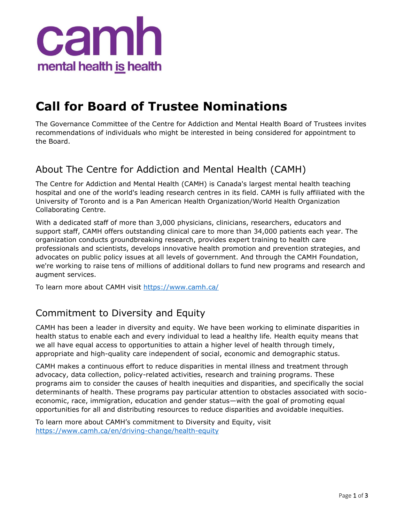

# **Call for Board of Trustee Nominations**

The Governance Committee of the Centre for Addiction and Mental Health Board of Trustees invites recommendations of individuals who might be interested in being considered for appointment to the Board.

### About The Centre for Addiction and Mental Health (CAMH)

The Centre for Addiction and Mental Health (CAMH) is Canada's largest mental health teaching hospital and one of the world's leading research centres in its field. CAMH is fully affiliated with the University of Toronto and is a Pan American Health Organization/World Health Organization Collaborating Centre.

With a dedicated staff of more than 3,000 physicians, clinicians, researchers, educators and support staff, CAMH offers outstanding clinical care to more than 34,000 patients each year. The organization conducts groundbreaking research, provides expert training to health care professionals and scientists, develops innovative health promotion and prevention strategies, and advocates on public policy issues at all levels of government. And through the CAMH Foundation, we're working to raise tens of millions of additional dollars to fund new programs and research and augment services.

To learn more about CAMH visit<https://www.camh.ca/>

## Commitment to Diversity and Equity

CAMH has been a leader in diversity and equity. We have been working to eliminate disparities in health status to enable each and every individual to lead a healthy life. Health equity means that we all have equal access to opportunities to attain a higher level of health through timely, appropriate and high-quality care independent of social, economic and demographic status.

CAMH makes a continuous effort to reduce disparities in mental illness and treatment through advocacy, data collection, policy-related activities, research and training programs. These programs aim to consider the causes of health inequities and disparities, and specifically the social determinants of health. These programs pay particular attention to obstacles associated with socioeconomic, race, immigration, education and gender status—with the goal of promoting equal opportunities for all and distributing resources to reduce disparities and avoidable inequities.

To learn more about CAMH's commitment to Diversity and Equity, visit <https://www.camh.ca/en/driving-change/health-equity>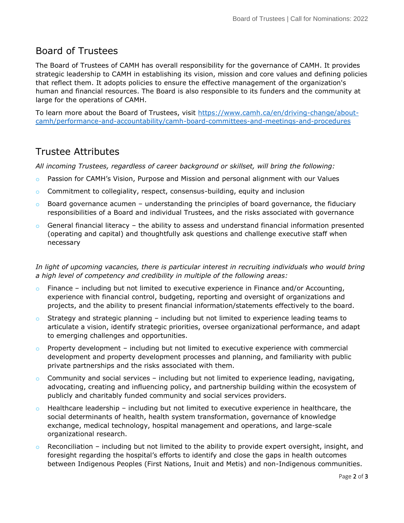#### Board of Trustees

The Board of Trustees of CAMH has overall responsibility for the governance of CAMH. It provides strategic leadership to CAMH in establishing its vision, mission and core values and defining policies that reflect them. It adopts policies to ensure the effective management of the organization's human and financial resources. The Board is also responsible to its funders and the community at large for the operations of CAMH.

To learn more about the Board of Trustees, visit [https://www.camh.ca/en/driving-change/about](https://www.camh.ca/en/driving-change/about-camh/performance-and-accountability/camh-board-committees-and-meetings-and-procedures)[camh/performance-and-accountability/camh-board-committees-and-meetings-and-procedures](https://www.camh.ca/en/driving-change/about-camh/performance-and-accountability/camh-board-committees-and-meetings-and-procedures)

#### Trustee Attributes

*All incoming Trustees, regardless of career background or skillset, will bring the following:*

- $\circ$  Passion for CAMH's Vision, Purpose and Mission and personal alignment with our Values
- $\circ$  Commitment to collegiality, respect, consensus-building, equity and inclusion
- $\circ$  Board governance acumen understanding the principles of board governance, the fiduciary responsibilities of a Board and individual Trustees, and the risks associated with governance
- $\circ$  General financial literacy the ability to assess and understand financial information presented (operating and capital) and thoughtfully ask questions and challenge executive staff when necessary

*In light of upcoming vacancies, there is particular interest in recruiting individuals who would bring a high level of competency and credibility in multiple of the following areas:*

- $\circ$  Finance including but not limited to executive experience in Finance and/or Accounting, experience with financial control, budgeting, reporting and oversight of organizations and projects, and the ability to present financial information/statements effectively to the board.
- $\circ$  Strategy and strategic planning including but not limited to experience leading teams to articulate a vision, identify strategic priorities, oversee organizational performance, and adapt to emerging challenges and opportunities.
- $\circ$  Property development including but not limited to executive experience with commercial development and property development processes and planning, and familiarity with public private partnerships and the risks associated with them.
- $\circ$  Community and social services including but not limited to experience leading, navigating, advocating, creating and influencing policy, and partnership building within the ecosystem of publicly and charitably funded community and social services providers.
- $\circ$  Healthcare leadership including but not limited to executive experience in healthcare, the social determinants of health, health system transformation, governance of knowledge exchange, medical technology, hospital management and operations, and large-scale organizational research.
- $\circ$  Reconciliation including but not limited to the ability to provide expert oversight, insight, and foresight regarding the hospital's efforts to identify and close the gaps in health outcomes between Indigenous Peoples (First Nations, Inuit and Metis) and non-Indigenous communities.